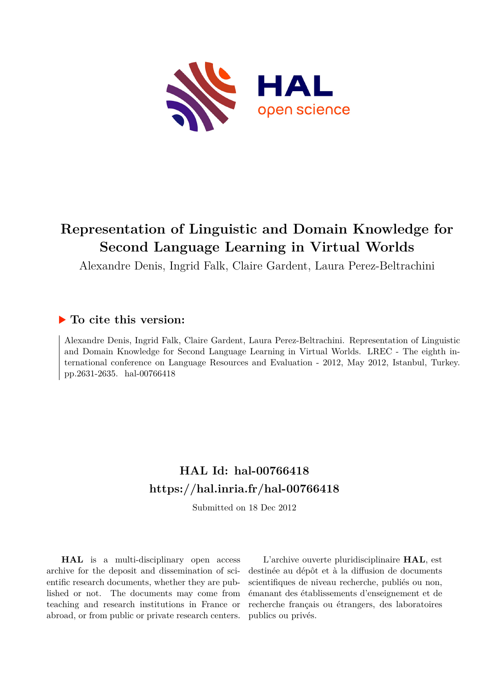

# **Representation of Linguistic and Domain Knowledge for Second Language Learning in Virtual Worlds**

Alexandre Denis, Ingrid Falk, Claire Gardent, Laura Perez-Beltrachini

# **To cite this version:**

Alexandre Denis, Ingrid Falk, Claire Gardent, Laura Perez-Beltrachini. Representation of Linguistic and Domain Knowledge for Second Language Learning in Virtual Worlds. LREC - The eighth international conference on Language Resources and Evaluation - 2012, May 2012, Istanbul, Turkey. pp.2631-2635. hal-00766418

# **HAL Id: hal-00766418 <https://hal.inria.fr/hal-00766418>**

Submitted on 18 Dec 2012

**HAL** is a multi-disciplinary open access archive for the deposit and dissemination of scientific research documents, whether they are published or not. The documents may come from teaching and research institutions in France or abroad, or from public or private research centers.

L'archive ouverte pluridisciplinaire **HAL**, est destinée au dépôt et à la diffusion de documents scientifiques de niveau recherche, publiés ou non, émanant des établissements d'enseignement et de recherche français ou étrangers, des laboratoires publics ou privés.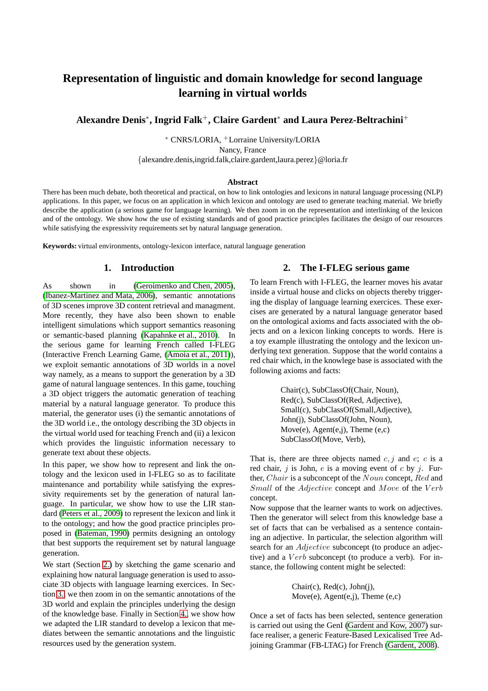# **Representation of linguistic and domain knowledge for second language learning in virtual worlds**

**Alexandre Denis**<sup>∗</sup> **, Ingrid Falk**<sup>+</sup>**, Claire Gardent**<sup>∗</sup> **and Laura Perez-Beltrachini**<sup>+</sup>

<sup>∗</sup> CNRS/LORIA, <sup>+</sup>Lorraine University/LORIA Nancy, France {alexandre.denis,ingrid.falk,claire.gardent,laura.perez}@loria.fr

#### **Abstract**

There has been much debate, both theoretical and practical, on how to link ontologies and lexicons in natural language processing (NLP) applications. In this paper, we focus on an application in which lexicon and ontology are used to generate teaching material. We briefly describe the application (a serious game for language learning). We then zoom in on the representation and interlinking of the lexicon and of the ontology. We show how the use of existing standards and of good practice principles facilitates the design of our resources while satisfying the expressivity requirements set by natural language generation.

**Keywords:** virtual environments, ontology-lexicon interface, natural language generation

### **1. Introduction**

As shown in [\(Geroimenko and Chen, 2005\)](#page-5-0), [\(Ibanez-Martinez and Mata, 2006\)](#page-5-1), semantic annotations of 3D scenes improve 3D content retrieval and managment. More recently, they have also been shown to enable intelligent simulations which support semantics reasoning or semantic-based planning [\(Kapahnke et al., 2010\)](#page-5-2). In the serious game for learning French called I-FLEG (Interactive French Learning Game, [\(Amoia et al., 2011\)](#page-5-3)), we exploit semantic annotations of 3D worlds in a novel way namely, as a means to support the generation by a 3D game of natural language sentences. In this game, touching a 3D object triggers the automatic generation of teaching material by a natural language generator. To produce this material, the generator uses (i) the semantic annotations of the 3D world i.e., the ontology describing the 3D objects in the virtual world used for teaching French and (ii) a lexicon which provides the linguistic information necessary to generate text about these objects.

In this paper, we show how to represent and link the ontology and the lexicon used in I-FLEG so as to facilitate maintenance and portability while satisfying the expressivity requirements set by the generation of natural language. In particular, we show how to use the LIR standard [\(Peters et al., 2009\)](#page-5-4) to represent the lexicon and link it to the ontology; and how the good practice principles proposed in [\(Bateman, 1990\)](#page-5-5) permits designing an ontology that best supports the requirement set by natural language generation.

<span id="page-1-0"></span>We start (Section [2.\)](#page-1-0) by sketching the game scenario and explaining how natural language generation is used to associate 3D objects with language learning exercices. In Section [3.,](#page-2-0) we then zoom in on the semantic annotations of the 3D world and explain the principles underlying the design of the knowledge base. Finally in Section [4.,](#page-3-0) we show how we adapted the LIR standard to develop a lexicon that mediates between the semantic annotations and the linguistic resources used by the generation system.

### **2. The I-FLEG serious game**

To learn French with I-FLEG, the learner moves his avatar inside a virtual house and clicks on objects thereby triggering the display of language learning exercices. These exercises are generated by a natural language generator based on the ontological axioms and facts associated with the objects and on a lexicon linking concepts to words. Here is a toy example illustrating the ontology and the lexicon underlying text generation. Suppose that the world contains a red chair which, in the knowlege base is associated with the following axioms and facts:

> Chair(c), SubClassOf(Chair, Noun), Red(c), SubClassOf(Red, Adjective), Small(c), SubClassOf(Small, Adjective), John(j), SubClassOf(John, Noun), Move(e),  $Agent(e,j)$ , Theme  $(e,c)$ SubClassOf(Move, Verb),

That is, there are three objects named  $c, j$  and  $e, c$  is a red chair,  $j$  is John,  $e$  is a moving event of  $c$  by  $j$ . Further, *Chair* is a subconcept of the *Noun* concept, *Red* and Small of the Adjective concept and Move of the Verb concept.

Now suppose that the learner wants to work on adjectives. Then the generator will select from this knowledge base a set of facts that can be verbalised as a sentence containing an adjective. In particular, the selection algorithm will search for an *Adjective* subconcept (to produce an adjective) and a  $Verb$  subconcept (to produce a verb). For instance, the following content might be selected:

> Chair(c), Red(c), John(j), Move(e), Agent(e,j), Theme (e,c)

Once a set of facts has been selected, sentence generation is carried out using the GenI [\(Gardent and Kow, 2007\)](#page-5-6) surface realiser, a generic Feature-Based Lexicalised Tree Adjoining Grammar (FB-LTAG) for French [\(Gardent, 2008\)](#page-5-7).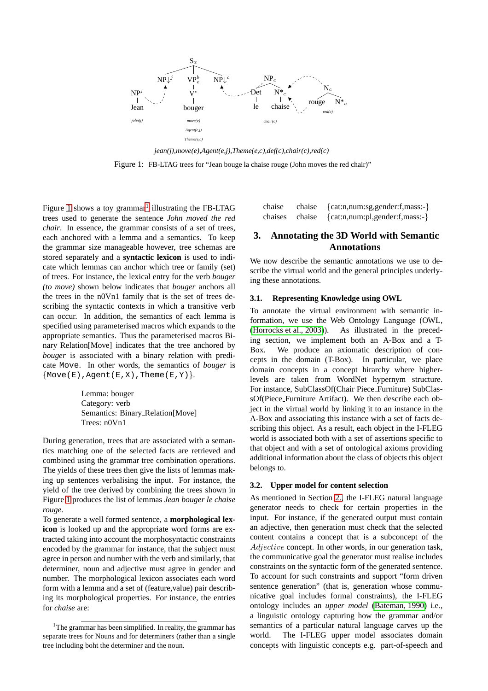<span id="page-2-1"></span>

*jean(j),move(e),Agent(e,j),Theme(e,c),def(c),chair(c),red(c)* Figure 1: FB-LTAG trees for "Jean bouge la chaise rouge (John moves the red chair)"

Figure [1](#page-2-1) shows a toy grammar<sup>[1](#page-2-2)</sup> illustrating the FB-LTAG trees used to generate the sentence *John moved the red chair*. In essence, the grammar consists of a set of trees, each anchored with a lemma and a semantics. To keep the grammar size manageable however, tree schemas are stored separately and a **syntactic lexicon** is used to indicate which lemmas can anchor which tree or family (set) of trees. For instance, the lexical entry for the verb *bouger (to move)* shown below indicates that *bouger* anchors all the trees in the n0Vn1 family that is the set of trees describing the syntactic contexts in which a transitive verb can occur. In addition, the semantics of each lemma is specified using parameterised macros which expands to the appropriate semantics. Thus the parameterised macros Binary Relation[Move] indicates that the tree anchored by *bouger* is associated with a binary relation with predicate Move. In other words, the semantics of *bouger* is  $\{Move(E), Agent(E,X), Then(E,Y)\}.$ 

> Lemma: bouger Category: verb Semantics: Binary Relation[Move] Trees: n0Vn1

During generation, trees that are associated with a semantics matching one of the selected facts are retrieved and combined using the grammar tree combination operations. The yields of these trees then give the lists of lemmas making up sentences verbalising the input. For instance, the yield of the tree derived by combining the trees shown in Figure [1](#page-2-1) produces the list of lemmas *Jean bouger le chaise rouge*.

To generate a well formed sentence, a **morphological lexicon** is looked up and the appropriate word forms are extracted taking into account the morphosyntactic constraints encoded by the grammar for instance, that the subject must agree in person and number with the verb and similarly, that determiner, noun and adjective must agree in gender and number. The morphological lexicon associates each word form with a lemma and a set of (feature,value) pair describing its morphological properties. For instance, the entries for *chaise* are:

| chaise | chaise | $\{cat:n, num: sg, gender: f, mass: -\}$               |
|--------|--------|--------------------------------------------------------|
|        |        | chaises chaise { $cat:n, num:pl, gender: f, mass: -$ } |

## <span id="page-2-0"></span>**3. Annotating the 3D World with Semantic Annotations**

We now describe the semantic annotations we use to describe the virtual world and the general principles underlying these annotations.

#### **3.1. Representing Knowledge using OWL**

To annotate the virtual environment with semantic information, we use the Web Ontology Language (OWL, [\(Horrocks et al., 2003\)](#page-5-8)). As illustrated in the preceding section, we implement both an A-Box and a T-Box. We produce an axiomatic description of concepts in the domain (T-Box). In particular, we place domain concepts in a concept hirarchy where higherlevels are taken from WordNet hypernym structure. For instance, SubClassOf(Chair Piece Furniture) SubClassOf(Piece Furniture Artifact). We then describe each object in the virtual world by linking it to an instance in the A-Box and associating this instance with a set of facts describing this object. As a result, each object in the I-FLEG world is associated both with a set of assertions specific to that object and with a set of ontological axioms providing additional information about the class of objects this object belongs to.

#### **3.2. Upper model for content selection**

As mentioned in Section [2.,](#page-1-0) the I-FLEG natural language generator needs to check for certain properties in the input. For instance, if the generated output must contain an adjective, then generation must check that the selected content contains a concept that is a subconcept of the Adjective concept. In other words, in our generation task, the communicative goal the generator must realise includes constraints on the syntactic form of the generated sentence. To account for such constraints and support "form driven sentence generation" (that is, generation whose communicative goal includes formal constraints), the I-FLEG ontology includes an *upper model* [\(Bateman, 1990\)](#page-5-5) i.e., a linguistic ontology capturing how the grammar and/or semantics of a particular natural language carves up the world. The I-FLEG upper model associates domain concepts with linguistic concepts e.g. part-of-speech and

<span id="page-2-2"></span><sup>&</sup>lt;sup>1</sup>The grammar has been simplified. In reality, the grammar has separate trees for Nouns and for determiners (rather than a single tree including boht the determiner and the noun.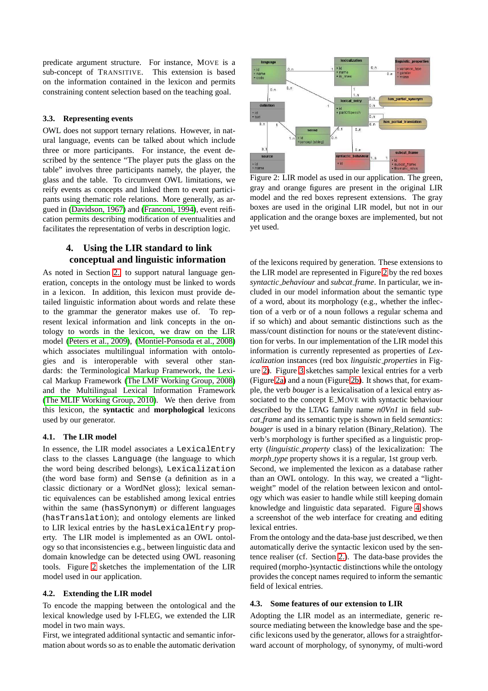predicate argument structure. For instance, MOVE is a sub-concept of TRANSITIVE. This extension is based on the information contained in the lexicon and permits constraining content selection based on the teaching goal.

#### **3.3. Representing events**

OWL does not support ternary relations. However, in natural language, events can be talked about which include three or more participants. For instance, the event described by the sentence "The player puts the glass on the table" involves three participants namely, the player, the glass and the table. To circumvent OWL limitations, we reify events as concepts and linked them to event participants using thematic role relations. More generally, as argued in [\(Davidson, 1967\)](#page-5-9) and [\(Franconi, 1994\)](#page-5-10), event reification permits describing modification of eventualities and facilitates the representation of verbs in description logic.

## <span id="page-3-0"></span>**4. Using the LIR standard to link conceptual and linguistic information**

As noted in Section [2.,](#page-1-0) to support natural language generation, concepts in the ontology must be linked to words in a lexicon. In addition, this lexicon must provide detailed linguistic information about words and relate these to the grammar the generator makes use of. To represent lexical information and link concepts in the ontology to words in the lexicon, we draw on the LIR model [\(Peters et al., 2009\)](#page-5-4), [\(Montiel-Ponsoda et al., 2008\)](#page-5-11) which associates multilingual information with ontologies and is interoperable with several other standards: the Terminological Markup Framework, the Lexical Markup Framework [\(The LMF Working Group, 2008\)](#page-5-12) and the Multilingual Lexical Information Framework [\(The MLIF Working Group, 2010\)](#page-5-13). We then derive from this lexicon, the **syntactic** and **morphological** lexicons used by our generator.

#### **4.1. The LIR model**

In essence, the LIR model associates a LexicalEntry class to the classes Language (the language to which the word being described belongs), Lexicalization (the word base form) and Sense (a definition as in a classic dictionary or a WordNet gloss); lexical semantic equivalences can be established among lexical entries within the same (hasSynonym) or different languages (hasTranslation); and ontology elements are linked to LIR lexical entries by the hasLexicalEntry property. The LIR model is implemented as an OWL ontology so that inconsistencies e.g., between linguistic data and domain knowledge can be detected using OWL reasoning tools. Figure [2](#page-3-1) sketches the implementation of the LIR model used in our application.

#### **4.2. Extending the LIR model**

To encode the mapping between the ontological and the lexical knowledge used by I-FLEG, we extended the LIR model in two main ways.

First, we integrated additional syntactic and semantic information about words so as to enable the automatic derivation

<span id="page-3-1"></span>

Figure 2: LIR model as used in our application. The green, gray and orange figures are present in the original LIR model and the red boxes represent extensions. The gray boxes are used in the original LIR model, but not in our application and the orange boxes are implemented, but not yet used.

of the lexicons required by generation. These extensions to the LIR model are represented in Figure [2](#page-3-1) by the red boxes *syntactic behaviour* and *subcat frame*. In particular, we included in our model information about the semantic type of a word, about its morphology (e.g., whether the inflection of a verb or of a noun follows a regular schema and if so which) and about semantic distinctions such as the mass/count distinction for nouns or the state/event distinction for verbs. In our implementation of the LIR model this information is currently represented as properties of *Lexicalization* instances (red box *linguistic properties* in Figure [2\)](#page-3-1). Figure [3](#page-4-0) sketches sample lexical entries for a verb (Figure [2a\)](#page-4-1) and a noun (Figure [2b\)](#page-4-2). It shows that, for example, the verb *bouger* is a lexicalisation of a lexical entry associated to the concept E MOVE with syntactic behaviour described by the LTAG family name *n0Vn1* in field *subcat frame* and its semantic type is shown in field *semantics*: *bouger* is used in a binary relation (Binary Relation). The verb's morphology is further specified as a linguistic property (*linguistic property* class) of the lexicalization: The *morph type* property shows it is a regular, 1st group verb. Second, we implemented the lexicon as a database rather than an OWL ontology. In this way, we created a "lightweight" model of the relation between lexicon and ontology which was easier to handle while still keeping domain knowledge and linguistic data separated. Figure [4](#page-4-3) shows a screenshot of the web interface for creating and editing lexical entries.

From the ontology and the data-base just described, we then automatically derive the syntactic lexicon used by the sentence realiser (cf. Section [2.\)](#page-1-0). The data-base provides the required (morpho-)syntactic distinctions while the ontology provides the concept names required to inform the semantic field of lexical entries.

#### **4.3. Some features of our extension to LIR**

Adopting the LIR model as an intermediate, generic resource mediating between the knowledge base and the specific lexicons used by the generator, allows for a straightforward account of morphology, of synonymy, of multi-word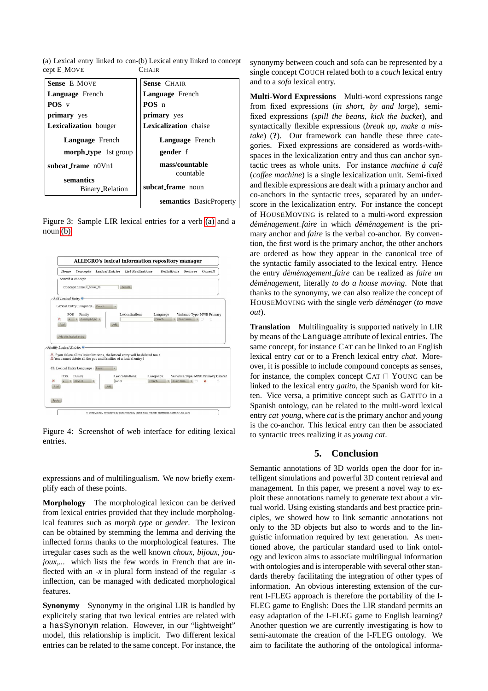<span id="page-4-1"></span><span id="page-4-0"></span>(a) Lexical entry linked to con-(b) Lexical entry linked to concept cept E MOVE **CHAIR** 

<span id="page-4-2"></span>

| <b>Sense E MOVE</b>                 | <b>Sense CHAIR</b>          |
|-------------------------------------|-----------------------------|
| <b>Language</b> French              | <b>Language</b> French      |
| $POS$ v                             | POS <sub>n</sub>            |
| <b>primary</b> yes                  | primary yes                 |
| <b>Lexicalization</b> bouger        | Lexicalization chaise       |
| <b>Language</b> French              | <b>Language</b> French      |
| <b>morph_type</b> 1st group         | gender f                    |
| $subcat-frame n0Vn1$                | mass/countable<br>countable |
| semantics<br><b>Binary_Relation</b> | subcat frame noun           |
|                                     | semantics BasicProperty     |

Figure 3: Sample LIR lexical entries for a verb [\(a\)](#page-4-1) and a noun [\(b\).](#page-4-2)

<span id="page-4-3"></span>

Figure 4: Screenshot of web interface for editing lexical entries.

expressions and of multilingualism. We now briefly exemplify each of these points.

**Morphology** The morphological lexicon can be derived from lexical entries provided that they include morphological features such as *morph type* or *gender*. The lexicon can be obtained by stemming the lemma and deriving the inflected forms thanks to the morphological features. The irregular cases such as the well known *choux, bijoux, joujoux....* which lists the few words in French that are inflected with an *-x* in plural form instead of the regular *-s* inflection, can be managed with dedicated morphological features.

**Synonymy** Synonymy in the original LIR is handled by explicitely stating that two lexical entries are related with a hasSynonym relation. However, in our "lightweight" model, this relationship is implicit. Two different lexical entries can be related to the same concept. For instance, the synonymy between couch and sofa can be represented by a single concept COUCH related both to a *couch* lexical entry and to a *sofa* lexical entry.

**Multi-Word Expressions** Multi-word expressions range from fixed expressions (*in short*, *by and large*), semifixed expressions (*spill the beans*, *kick the bucket*), and syntactically flexible expressions (*break up*, *make a mistake*) (**?**). Our framework can handle these three categories. Fixed expressions are considered as words-withspaces in the lexicalization entry and thus can anchor syntactic trees as whole units. For instance *machine*  $\hat{a}$  *café* (*coffee machine*) is a single lexicalization unit. Semi-fixed and flexible expressions are dealt with a primary anchor and co-anchors in the syntactic trees, separated by an underscore in the lexicalization entry. For instance the concept of HOUSEMOVING is related to a multi-word expression *dem´ enagement ´ faire* in which *dem´ enagement ´* is the primary anchor and *faire* is the verbal co-anchor. By convention, the first word is the primary anchor, the other anchors are ordered as how they appear in the canonical tree of the syntactic family associated to the lexical entry. Hence the entry *dem´ enagement ´ faire* can be realized as *faire un dem´ enagement ´* , literally *to do a house moving*. Note that thanks to the synonymy, we can also realize the concept of HOUSEMOVING with the single verb *déménager* (to move *out*).

**Translation** Multilinguality is supported natively in LIR by means of the Language attribute of lexical entries. The same concept, for instance CAT can be linked to an English lexical entry *cat* or to a French lexical entry *chat*. Moreover, it is possible to include compound concepts as senses, for instance, the complex concept CAT ⊓ YOUNG can be linked to the lexical entry *gatito*, the Spanish word for kitten. Vice versa, a primitive concept such as GATITO in a Spanish ontology, can be related to the multi-word lexical entry *cat young*, where *cat* is the primary anchor and *young* is the co-anchor. This lexical entry can then be associated to syntactic trees realizing it as *young cat*.

#### **5. Conclusion**

Semantic annotations of 3D worlds open the door for intelligent simulations and powerful 3D content retrieval and management. In this paper, we present a novel way to exploit these annotations namely to generate text about a virtual world. Using existing standards and best practice principles, we showed how to link semantic annotations not only to the 3D objects but also to words and to the linguistic information required by text generation. As mentioned above, the particular standard used to link ontology and lexicon aims to associate multilingual information with ontologies and is interoperable with several other standards thereby facilitating the integration of other types of information. An obvious interesting extension of the current I-FLEG approach is therefore the portability of the I-FLEG game to English: Does the LIR standard permits an easy adaptation of the I-FLEG game to English learning? Another question we are currently investigating is how to semi-automate the creation of the I-FLEG ontology. We aim to facilitate the authoring of the ontological informa